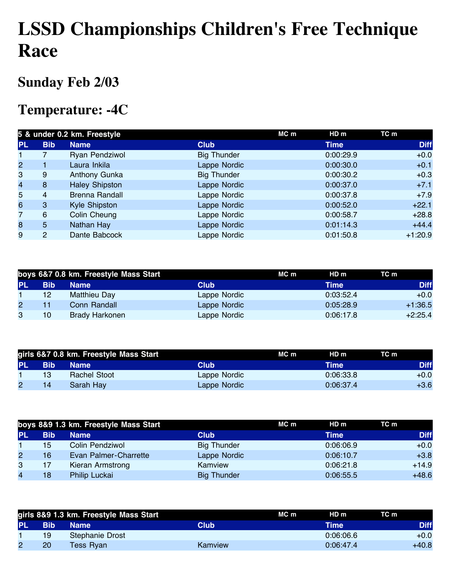# **LSSD Championships Children's Free Technique Race**

### **Sunday Feb 2/03**

#### **Temperature: -4C**

|                | 5 & under 0.2 km. Freestyle |                       |                    | MC m | HD m        | TC m        |
|----------------|-----------------------------|-----------------------|--------------------|------|-------------|-------------|
| <b>PL</b>      | <b>Bib</b>                  | <b>Name</b>           | <b>Club</b>        |      | <b>Time</b> | <b>Diff</b> |
|                |                             | Ryan Pendziwol        | <b>Big Thunder</b> |      | 0:00:29.9   | $+0.0$      |
| $\mathbf{2}$   |                             | Laura Inkila          | Lappe Nordic       |      | 0:00:30.0   | $+0.1$      |
| 3              | 9                           | Anthony Gunka         | <b>Big Thunder</b> |      | 0:00:30.2   | $+0.3$      |
| $\overline{4}$ | 8                           | <b>Haley Shipston</b> | Lappe Nordic       |      | 0:00:37.0   | $+7.1$      |
| 5              | 4                           | <b>Brenna Randall</b> | Lappe Nordic       |      | 0:00:37.8   | $+7.9$      |
| 6              | 3                           | Kyle Shipston         | Lappe Nordic       |      | 0:00:52.0   | $+22.1$     |
| 7              | 6                           | Colin Cheung          | Lappe Nordic       |      | 0:00:58.7   | $+28.8$     |
| 8              | 5                           | Nathan Hay            | Lappe Nordic       |      | 0:01:14.3   | $+44.4$     |
| 9              | 2                           | Dante Babcock         | Lappe Nordic       |      | 0:01:50.8   | $+1:20.9$   |

|           |                 | boys 6&7 0.8 km. Freestyle Mass Start |              | MC m | HDm         | TC m        |
|-----------|-----------------|---------------------------------------|--------------|------|-------------|-------------|
| <b>PL</b> | <b>Bib</b>      | <b>Name</b>                           | Club         |      | <b>Time</b> | <b>Diff</b> |
|           | 12 <sup>°</sup> | Matthieu Day                          | Lappe Nordic |      | 0:03:52.4   | $+0.0$      |
| 2         |                 | Conn Randall                          | Lappe Nordic |      | 0:05:28.9   | $+1:36.5$   |
| 3         | 10              | <b>Brady Harkonen</b>                 | Lappe Nordic |      | 0:06:17.8   | $+2:25.4$   |

|     |            | girls 6&7 0.8 km. Freestyle Mass Start |              | MC m | HD m        | TC m |             |
|-----|------------|----------------------------------------|--------------|------|-------------|------|-------------|
| PL. | <b>Bib</b> | <b>Name</b>                            | Club         |      | <b>Time</b> |      | <b>Diff</b> |
|     | 13         | Rachel Stoot                           | Lappe Nordic |      | 0:06:33.8   |      | $+0.0$      |
|     | 14         | Sarah Hay                              | Lappe Nordic |      | 0:06:37.4   |      | $+3.6$      |

|                | boys 8&9 1.3 km. Freestyle Mass Start |                       |                    | MC m | HD m      | TC m        |
|----------------|---------------------------------------|-----------------------|--------------------|------|-----------|-------------|
| <b>PL</b>      | <b>Bib</b>                            | <b>Name</b>           | <b>Club</b>        |      | Time      | <b>Diff</b> |
|                | 15                                    | Colin Pendziwol       | <b>Big Thunder</b> |      | 0:06:06.9 | $+0.0$      |
| $\overline{2}$ | 16                                    | Evan Palmer-Charrette | Lappe Nordic       |      | 0:06:10.7 | $+3.8$      |
| 3              |                                       | Kieran Armstrong      | Kamview            |      | 0:06:21.8 | $+14.9$     |
| 4              | 18                                    | Philip Luckai         | <b>Big Thunder</b> |      | 0:06:55.5 | $+48.6$     |

|           |            | girls 8&9 1.3 km. Freestyle Mass Start |         | MC m | HD <sub>m</sub> | TC m        |
|-----------|------------|----------------------------------------|---------|------|-----------------|-------------|
| <b>PL</b> | <b>Bib</b> | <b>Name</b>                            | Club'   |      | Time            | <b>Diff</b> |
|           | 19         | Stephanie Drost                        |         |      | 0.06:06.6       | $+0.0$      |
|           | 20         | Tess Rvan                              | Kamview |      | 0:06:47.4       | +40.8       |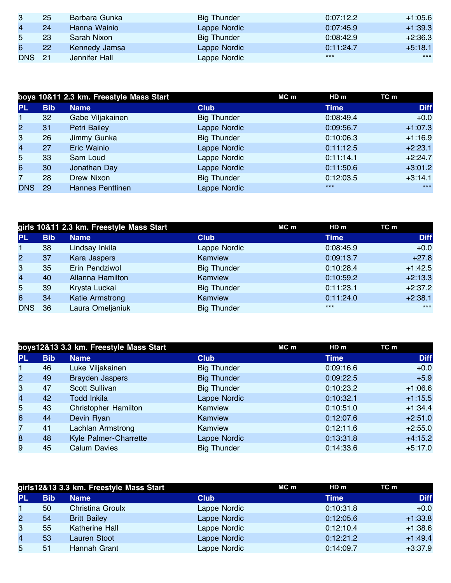| 3             | 25 | Barbara Gunka | <b>Big Thunder</b> | 0:07:12.2 | $+1:05.6$ |
|---------------|----|---------------|--------------------|-----------|-----------|
| 4             | 24 | Hanna Wainio  | Lappe Nordic       | 0:07:45.9 | $+1:39.3$ |
| 5             | 23 | Sarah Nixon   | <b>Big Thunder</b> | 0:08:42.9 | $+2:36.3$ |
| 6             | 22 | Kennedy Jamsa | Lappe Nordic       | 0:11:24.7 | $+5:18.1$ |
| <b>DNS</b> 21 |    | Jennifer Hall | Lappe Nordic       | $***$     | $***$     |

|                         |            | boys 10&11 2.3 km. Freestyle Mass Start |                    | MC m | HD m        | TC m        |
|-------------------------|------------|-----------------------------------------|--------------------|------|-------------|-------------|
| <b>PL</b>               | <b>Bib</b> | <b>Name</b>                             | <b>Club</b>        |      | <b>Time</b> | <b>Diff</b> |
| $\blacksquare$          | 32         | Gabe Viljakainen                        | <b>Big Thunder</b> |      | 0:08:49.4   | $+0.0$      |
| $\overline{2}$          | 31         | <b>Petri Bailey</b>                     | Lappe Nordic       |      | 0:09:56.7   | $+1:07.3$   |
| 3                       | 26         | Jimmy Gunka                             | <b>Big Thunder</b> |      | 0:10:06.3   | $+1:16.9$   |
| $\overline{\mathbf{4}}$ | 27         | Eric Wainio                             | Lappe Nordic       |      | 0:11:12.5   | $+2:23.1$   |
| 5                       | 33         | Sam Loud                                | Lappe Nordic       |      | 0:11:14.1   | $+2:24.7$   |
| 6                       | 30         | Jonathan Day                            | Lappe Nordic       |      | 0:11:50.6   | $+3:01.2$   |
| $\overline{7}$          | 28         | Drew Nixon                              | <b>Big Thunder</b> |      | 0:12:03.5   | $+3:14.1$   |
| <b>DNS</b>              | 29         | <b>Hannes Penttinen</b>                 | Lappe Nordic       |      | $***$       | $***$       |

|                |            | girls 10&11 2.3 km. Freestyle Mass Start |                    | MC m | HD m      | TC m        |
|----------------|------------|------------------------------------------|--------------------|------|-----------|-------------|
| <b>PL</b>      | <b>Bib</b> | <b>Name</b>                              | <b>Club</b>        |      | Time      | <b>Diff</b> |
| $\blacksquare$ | 38         | Lindsay Inkila                           | Lappe Nordic       |      | 0:08:45.9 | $+0.0$      |
| $\overline{2}$ | 37         | Kara Jaspers                             | Kamview            |      | 0:09:13.7 | $+27.8$     |
| 3              | 35         | Erin Pendziwol                           | <b>Big Thunder</b> |      | 0:10:28.4 | $+1:42.5$   |
| $\overline{4}$ | 40         | Allanna Hamilton                         | Kamview            |      | 0:10:59.2 | $+2:13.3$   |
| 5              | 39         | Krysta Luckai                            | <b>Big Thunder</b> |      | 0:11:23.1 | $+2:37.2$   |
| 6              | 34         | Katie Armstrong                          | Kamview            |      | 0:11:24.0 | $+2:38.1$   |
| <b>DNS</b>     | -36        | Laura Omeljaniuk                         | <b>Big Thunder</b> |      | $***$     | $***$       |

|                |            | boys12&13 3.3 km. Freestyle Mass Start |                    | MC m | HD m        | TC m        |
|----------------|------------|----------------------------------------|--------------------|------|-------------|-------------|
| <b>PL</b>      | <b>Bib</b> | <b>Name</b>                            | <b>Club</b>        |      | <b>Time</b> | <b>Diff</b> |
| $\mathbf{1}$   | 46         | Luke Viljakainen                       | <b>Big Thunder</b> |      | 0:09:16.6   | $+0.0$      |
| $\overline{2}$ | 49         | <b>Brayden Jaspers</b>                 | <b>Big Thunder</b> |      | 0:09:22.5   | $+5.9$      |
| 3              | 47         | Scott Sullivan                         | <b>Big Thunder</b> |      | 0:10:23.2   | $+1:06.6$   |
| $\overline{4}$ | 42         | <b>Todd Inkila</b>                     | Lappe Nordic       |      | 0:10:32.1   | $+1:15.5$   |
| 5              | 43         | <b>Christopher Hamilton</b>            | Kamview            |      | 0:10:51.0   | $+1:34.4$   |
| 6              | 44         | Devin Ryan                             | Kamview            |      | 0:12:07.6   | $+2:51.0$   |
| $\overline{7}$ | 41         | Lachlan Armstrong                      | Kamview            |      | 0:12:11.6   | $+2:55.0$   |
| 8              | 48         | Kyle Palmer-Charrette                  | Lappe Nordic       |      | 0:13:31.8   | $+4:15.2$   |
| 9              | 45         | <b>Calum Davies</b>                    | <b>Big Thunder</b> |      | 0:14:33.6   | $+5:17.0$   |

|                |            | girls12&13 3.3 km. Freestyle Mass Start |              | MC m | HD m      | TC m        |
|----------------|------------|-----------------------------------------|--------------|------|-----------|-------------|
| <b>PL</b>      | <b>Bib</b> | <b>Name</b>                             | <b>Club</b>  |      | Time      | <b>Diff</b> |
|                | 50         | Christina Groulx                        | Lappe Nordic |      | 0:10:31.8 | $+0.0$      |
| $\mathbf{2}$   | 54         | <b>Britt Bailey</b>                     | Lappe Nordic |      | 0:12:05.6 | $+1:33.8$   |
| 3              | 55         | Katherine Hall                          | Lappe Nordic |      | 0:12:10.4 | $+1:38.6$   |
| $\overline{4}$ | 53         | Lauren Stoot                            | Lappe Nordic |      | 0:12:21.2 | $+1:49.4$   |
| 5              | 51         | Hannah Grant                            | Lappe Nordic |      | 0:14:09.7 | $+3:37.9$   |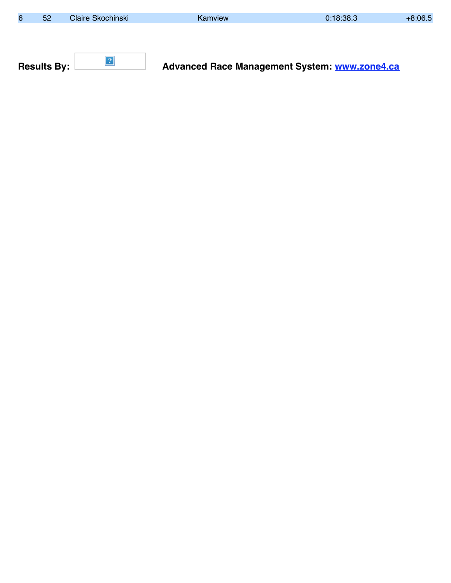| 6 | 52                 | Claire Skochinski | Kamview                                              | 0:18:38.3 | $+8:06.5$ |
|---|--------------------|-------------------|------------------------------------------------------|-----------|-----------|
|   |                    |                   |                                                      |           |           |
|   |                    |                   |                                                      |           |           |
|   |                    |                   |                                                      |           |           |
|   | <b>Results By:</b> |                   | <b>Advanced Race Management System: www.zone4.ca</b> |           |           |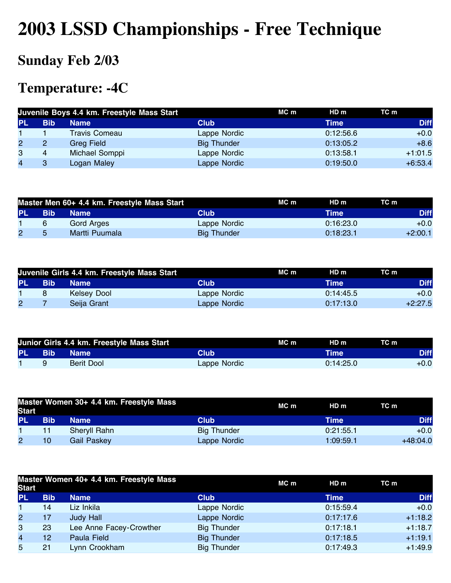# **2003 LSSD Championships - Free Technique**

## **Sunday Feb 2/03**

#### **Temperature: -4C**

|    |            | Juvenile Boys 4.4 km. Freestyle Mass Start |                    | MC m | HDm       | TC m        |
|----|------------|--------------------------------------------|--------------------|------|-----------|-------------|
| PL | <b>Bib</b> | <b>Name</b>                                | <b>Club</b>        |      | Time      | <b>Diff</b> |
|    |            | <b>Travis Comeau</b>                       | Lappe Nordic       |      | 0:12:56.6 | $+0.0$      |
| 2  | 2          | <b>Greg Field</b>                          | <b>Big Thunder</b> |      | 0:13:05.2 | $+8.6$      |
| 3  | 4          | Michael Somppi                             | Lappe Nordic       |      | 0:13:58.1 | $+1:01.5$   |
| 4  | 3          | Logan Maley                                | Lappe Nordic       |      | 0:19:50.0 | $+6:53.4$   |

| Master Men 60+ 4.4 km. Freestyle Mass Start |            |                |                    | MC m | HD m        | TC m        |
|---------------------------------------------|------------|----------------|--------------------|------|-------------|-------------|
| PL.                                         | <b>Bib</b> | <b>Name</b>    | Club               |      | <b>Time</b> | <b>Diff</b> |
|                                             | 6          | Gord Arges     | Lappe Nordic       |      | 0:16:23.0   | $+0.0$      |
| $\overline{2}$                              | 5          | Martti Puumala | <b>Big Thunder</b> |      | 0:18:23.1   | $+2:00.1$   |

| Juvenile Girls 4.4 km. Freestyle Mass Start |            |             |              | MC m | HD <sub>m</sub> | TC m        |
|---------------------------------------------|------------|-------------|--------------|------|-----------------|-------------|
| <b>PL</b>                                   | <b>Bib</b> | <b>Name</b> | Club         |      | Time            | <b>Diff</b> |
|                                             |            | Kelsey Dool | Lappe Nordic |      | 0:14:45.5       | $+0.0$      |
| $\overline{2}$                              |            | Seija Grant | Lappe Nordic |      | 0:17:13.0       | $+2:27.5$   |

|     |              | Junior Girls 4.4 km. Freestyle Mass Start |              | MC m | HD m      | TC m        |
|-----|--------------|-------------------------------------------|--------------|------|-----------|-------------|
| PL. | <b>N</b> Bib | <b>Name</b>                               | Club         |      | Time      | <b>Diff</b> |
|     |              | Berit Dool                                | Lappe Nordic |      | 0:14:25.0 | $+0.0$      |

| <b>Start</b> |     | Master Women 30+ 4.4 km. Freestyle Mass |                    | MC m | HD m      | TC m        |
|--------------|-----|-----------------------------------------|--------------------|------|-----------|-------------|
| <b>PL</b>    | Bib | <b>Name</b>                             | Club               |      | Time      | <b>Diff</b> |
|              | 11  | Sheryll Rahn                            | <b>Big Thunder</b> |      | 0:21:55.1 | $+0.0$      |
| 2            | 10  | Gail Paskey                             | Lappe Nordic       |      | 1:09:59.1 | $+48:04.0$  |

| <b>Start</b>            |            | Master Women 40+ 4.4 km. Freestyle Mass |                    | $MC$ m | HDm       | TC m        |
|-------------------------|------------|-----------------------------------------|--------------------|--------|-----------|-------------|
| <b>PL</b>               | <b>Bib</b> | <b>Name</b>                             | <b>Club</b>        |        | Time      | <b>Diff</b> |
|                         | 14         | Liz Inkila                              | Lappe Nordic       |        | 0:15:59.4 | $+0.0$      |
| $\overline{2}$          | 17         | <b>Judy Hall</b>                        | Lappe Nordic       |        | 0:17:17.6 | $+1:18.2$   |
| 3                       | 23         | Lee Anne Facey-Crowther                 | <b>Big Thunder</b> |        | 0:17:18.1 | $+1:18.7$   |
| $\overline{\mathbf{4}}$ | 12         | Paula Field                             | <b>Big Thunder</b> |        | 0:17:18.5 | $+1:19.1$   |
| 5                       | 21         | Lynn Crookham                           | <b>Big Thunder</b> |        | 0:17:49.3 | $+1:49.9$   |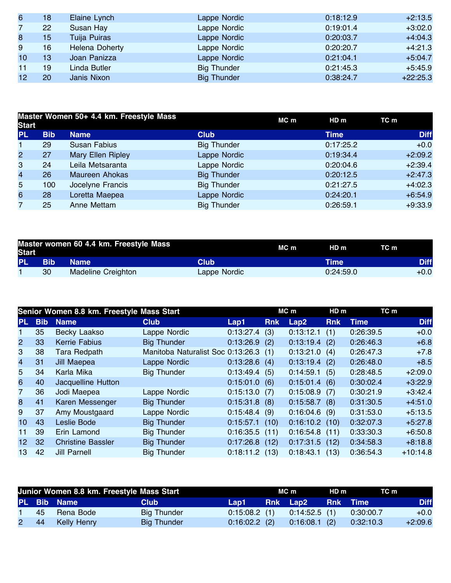| 6               | 18 | Elaine Lynch          | Lappe Nordic       | 0:18:12.9 | $+2:13.5$  |
|-----------------|----|-----------------------|--------------------|-----------|------------|
|                 | 22 | Susan Hay             | Lappe Nordic       | 0:19:01.4 | $+3:02.0$  |
| 8               | 15 | Tuija Puiras          | Lappe Nordic       | 0:20:03.7 | $+4:04.3$  |
| 9               | 16 | <b>Helena Doherty</b> | Lappe Nordic       | 0:20:20.7 | $+4:21.3$  |
| 10              | 13 | Joan Panizza          | Lappe Nordic       | 0:21:04.1 | $+5:04.7$  |
| 11              | 19 | Linda Butler          | <b>Big Thunder</b> | 0:21:45.3 | $+5:45.9$  |
| 12 <sub>2</sub> | 20 | Janis Nixon           | <b>Big Thunder</b> | 0:38:24.7 | $+22:25.3$ |

| <b>Start</b>            |            | Master Women 50+ 4.4 km. Freestyle Mass |                    | MC m | HDm         | TC m        |
|-------------------------|------------|-----------------------------------------|--------------------|------|-------------|-------------|
| <b>PL</b>               | <b>Bib</b> | <b>Name</b>                             | <b>Club</b>        |      | <b>Time</b> | <b>Diff</b> |
| $\mathbf 1$             | 29         | <b>Susan Fabius</b>                     | <b>Big Thunder</b> |      | 0:17:25.2   | $+0.0$      |
| $\overline{2}$          | 27         | Mary Ellen Ripley                       | Lappe Nordic       |      | 0:19:34.4   | $+2:09.2$   |
| 3                       | 24         | Leila Metsaranta                        | Lappe Nordic       |      | 0:20:04.6   | $+2:39.4$   |
| $\overline{\mathbf{4}}$ | 26         | <b>Maureen Ahokas</b>                   | <b>Big Thunder</b> |      | 0:20:12.5   | $+2:47.3$   |
| 5                       | 100        | Jocelyne Francis                        | <b>Big Thunder</b> |      | 0:21:27.5   | $+4:02.3$   |
| 6                       | 28         | Loretta Maepea                          | Lappe Nordic       |      | 0:24:20.1   | $+6:54.9$   |
| $\overline{7}$          | 25         | Anne Mettam                             | <b>Big Thunder</b> |      | 0:26:59.1   | $+9:33.9$   |

| <b>Start</b> |            | Master women 60 4.4 km. Freestyle Mass | MC m         | HD m | TC m      |  |             |
|--------------|------------|----------------------------------------|--------------|------|-----------|--|-------------|
| <b>PL</b>    | <b>Bib</b> | <b>Name</b>                            | Club         |      | Time      |  | <b>Diff</b> |
|              | 30         | <b>Madeline Creighton</b>              | Lappe Nordic |      | 0:24:59.0 |  | $+0.0$      |

|                 | Senior Women 8.8 km. Freestyle Mass Start |                          |                                       |                  | MC m       |                  | HD <sub>m</sub> | TC m        |             |
|-----------------|-------------------------------------------|--------------------------|---------------------------------------|------------------|------------|------------------|-----------------|-------------|-------------|
| PL.             | <b>Bib</b>                                | <b>Name</b>              | <b>Club</b>                           | Lap1             | <b>Rnk</b> | Lap2             | <b>Rnk</b>      | <b>Time</b> | <b>Diff</b> |
|                 | 35                                        | Becky Laakso             | Lappe Nordic                          | 0:13:27.4        | (3)        | 0:13:12.1        | (1)             | 0:26:39.5   | $+0.0$      |
| $\overline{2}$  | 33                                        | <b>Kerrie Fabius</b>     | <b>Big Thunder</b>                    | 0:13:26.9        | (2)        | 0:13:19.4        | (2)             | 0:26:46.3   | $+6.8$      |
| 3               | 38                                        | <b>Tara Redpath</b>      | Manitoba Naturalist Soc 0:13:26.3 (1) |                  |            | 0:13:21.0        | (4)             | 0:26:47.3   | $+7.8$      |
| 4               | 31                                        | Jill Maepea              | Lappe Nordic                          | $0:13:28.6$ (4)  |            | $0:13:19.4$ (2)  |                 | 0:26:48.0   | $+8.5$      |
| 5               | 34                                        | Karla Mika               | <b>Big Thunder</b>                    | $0:13:49.4$ (5)  |            | 0:14:59.1        | (5)             | 0:28:48.5   | $+2:09.0$   |
| 6               | 40                                        | Jacquelline Hutton       |                                       | $0:15:01.0$ (6)  |            | $0:15:01.4$ (6)  |                 | 0:30:02.4   | $+3:22.9$   |
| $\overline{7}$  | 36                                        | Jodi Maepea              | Lappe Nordic                          | $0:15:13.0$ (7)  |            | $0:15:08.9$ (7)  |                 | 0:30:21.9   | $+3:42.4$   |
| 8               | 41                                        | Karen Messenger          | <b>Big Thunder</b>                    | $0:15:31.8$ (8)  |            | $0:15:58.7$ (8)  |                 | 0:31:30.5   | $+4:51.0$   |
| 9               | 37                                        | Amy Moustgaard           | Lappe Nordic                          | $0:15:48.4$ (9)  |            | $0:16:04.6$ (9)  |                 | 0:31:53.0   | $+5:13.5$   |
| 10 <sup>°</sup> | 43                                        | Leslie Bode              | <b>Big Thunder</b>                    | $0:15:57.1$ (10) |            | $0:16:10.2$ (10) |                 | 0:32:07.3   | $+5:27.8$   |
| 11              | 39                                        | Erin Lamond              | <b>Big Thunder</b>                    | $0:16:35.5$ (11) |            | $0:16:54.8$ (11) |                 | 0:33:30.3   | $+6:50.8$   |
| 12 <sup>2</sup> | 32                                        | <b>Christine Bassler</b> | <b>Big Thunder</b>                    | $0:17:26.8$ (12) |            | $0:17:31.5$ (12) |                 | 0:34:58.3   | $+8:18.8$   |
| 13              | 42                                        | <b>Jill Parnell</b>      | <b>Big Thunder</b>                    | $0:18:11.2$ (13) |            | 0:18:43.1        | (13)            | 0:36:54.3   | $+10:14.8$  |

| Junior Women 8.8 km. Freestyle Mass Start |  |                  |                    |                 | MC m |                          | HD m | TC m      |             |
|-------------------------------------------|--|------------------|--------------------|-----------------|------|--------------------------|------|-----------|-------------|
|                                           |  | PL Bib Name      | <b>Club</b>        | Lap1 <b>Lap</b> |      | <b>Rnk Lap2 Rnk Time</b> |      |           | <b>Diff</b> |
|                                           |  | 45 Rena Bode     | <b>Big Thunder</b> | $0.15:08.2$ (1) |      | 0:14:52.5 (1)            |      | 0:30:00.7 | $+0.0$      |
|                                           |  | 2 44 Kelly Henry | <b>Big Thunder</b> | $0:16:02.2$ (2) |      | $0:16:08.1$ (2)          |      | 0:32:10.3 | $+2:09.6$   |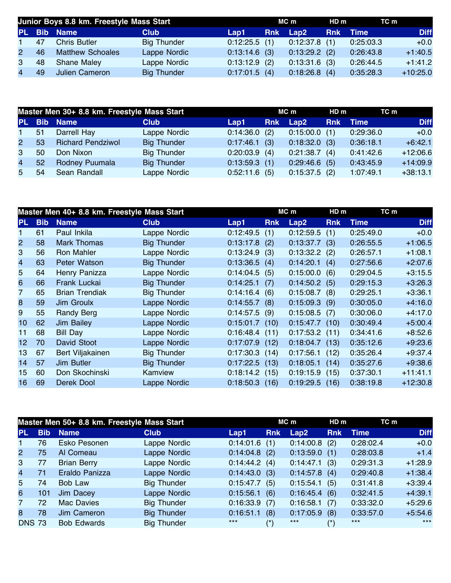|                | Junior Boys 8.8 km. Freestyle Mass Start |                         |                    |                                        | MC m       |                 | HDm | TC m      |             |
|----------------|------------------------------------------|-------------------------|--------------------|----------------------------------------|------------|-----------------|-----|-----------|-------------|
|                |                                          | PL Bib Name             | <b>Club</b>        | $\blacktriangle$ Lap1 $\blacktriangle$ | <b>Rnk</b> | Lap2            |     | Rnk Time  | <b>Diff</b> |
| $\mathbf 1$    | 47                                       | <b>Chris Butler</b>     | <b>Big Thunder</b> | $0:12:25.5$ (1)                        |            | $0:12:37.8$ (1) |     | 0:25:03.3 | $+0.0$      |
| 2 <sup>1</sup> | 46                                       | <b>Matthew Schoales</b> | Lappe Nordic       | $0:13:14.6$ (3)                        |            | $0:13:29.2$ (2) |     | 0:26:43.8 | $+1:40.5$   |
| 3              | 48                                       | Shane Maley             | Lappe Nordic       | $0:13:12.9$ (2)                        |            | $0:13:31.6$ (3) |     | 0:26:44.5 | $+1:41.2$   |
| $\overline{4}$ | 49                                       | Julien Cameron          | <b>Big Thunder</b> | $0:17:01.5$ (4)                        |            | $0:18:26.8$ (4) |     | 0:35:28.3 | $+10:25.0$  |

|                | Master Men 30+ 8.8 km. Freestyle Mass Start |                          |                    |                 | MC m       |                 | HD m       | TC m      |             |
|----------------|---------------------------------------------|--------------------------|--------------------|-----------------|------------|-----------------|------------|-----------|-------------|
| <b>PL</b>      |                                             | <b>Bib Name</b>          | <b>Club</b>        | Lap1            | <b>Rnk</b> | Lap2            | <b>Rnk</b> | Time      | <b>Diff</b> |
| $\mathbf 1$    | 51                                          | Darrell Hay              | Lappe Nordic       | $0:14:36.0$ (2) |            | $0:15:00.0$ (1) |            | 0:29:36.0 | $+0.0$      |
| $\mathbf{2}$   | 53                                          | <b>Richard Pendziwol</b> | <b>Big Thunder</b> | $0:17:46.1$ (3) |            | $0:18:32.0$ (3) |            | 0:36:18.1 | $+6:42.1$   |
| 3              | 50                                          | Don Nixon                | <b>Big Thunder</b> | $0:20:03.9$ (4) |            | $0:21:38.7$ (4) |            | 0:41:42.6 | $+12:06.6$  |
| $\overline{4}$ | 52                                          | Rodney Puumala           | <b>Big Thunder</b> | $0:13:59.3$ (1) |            | $0:29:46.6$ (5) |            | 0:43:45.9 | $+14:09.9$  |
| 5              | 54                                          | Sean Randall             | Lappe Nordic       | $0:52:11.6$ (5) |            | $0:15:37.5$ (2) |            | 1:07:49.1 | $+38:13.1$  |

|                 |            | Master Men 40+ 8.8 km. Freestyle Mass Start |                    |                  |            | MC m             | HD <sub>m</sub> | TC m        |             |
|-----------------|------------|---------------------------------------------|--------------------|------------------|------------|------------------|-----------------|-------------|-------------|
| PL.             | <b>Bib</b> | <b>Name</b>                                 | <b>Club</b>        | Lap1             | <b>Rnk</b> | Lap2             | <b>Rnk</b>      | <b>Time</b> | <b>Diff</b> |
|                 | 61         | Paul Inkila                                 | Lappe Nordic       | 0:12:49.5        | (1)        | 0:12:59.5        | (1)             | 0:25:49.0   | $+0.0$      |
| $\overline{2}$  | 58         | <b>Mark Thomas</b>                          | <b>Big Thunder</b> | 0:13:17.8        | (2)        | 0:13:37.7        | (3)             | 0:26:55.5   | $+1:06.5$   |
| 3               | 56         | Ron Mahler                                  | Lappe Nordic       | 0:13:24.9        | (3)        | $0:13:32.2$ (2)  |                 | 0:26:57.1   | $+1:08.1$   |
| 4               | 63         | Peter Watson                                | <b>Big Thunder</b> | 0:13:36.5(4)     |            | $0:14:20.1$ (4)  |                 | 0:27:56.6   | $+2:07.6$   |
| 5               | 64         | Henry Panizza                               | Lappe Nordic       | 0:14:04.5(5)     |            | $0:15:00.0$ (6)  |                 | 0:29:04.5   | $+3:15.5$   |
| 6               | 66         | Frank Luckai                                | <b>Big Thunder</b> | 0:14:25.1        | (7)        | $0:14:50.2$ (5)  |                 | 0:29:15.3   | $+3:26.3$   |
| 7               | 65         | <b>Brian Trendiak</b>                       | <b>Big Thunder</b> | 0:14:16.4(6)     |            | $0:15:08.7$ (8)  |                 | 0:29:25.1   | $+3:36.1$   |
| 8               | 59         | Jim Groulx                                  | Lappe Nordic       | $0:14:55.7$ (8)  |            | $0:15:09.3$ (9)  |                 | 0:30:05.0   | $+4:16.0$   |
| 9               | 55         | Randy Berg                                  | Lappe Nordic       | $0:14:57.5$ (9)  |            | $0:15:08.5$ (7)  |                 | 0:30:06.0   | $+4:17.0$   |
| 10              | 62         | <b>Jim Bailey</b>                           | Lappe Nordic       | $0:15:01.7$ (10) |            | $0:15:47.7$ (10) |                 | 0:30:49.4   | $+5:00.4$   |
| 11              | 68         | <b>Bill Day</b>                             | Lappe Nordic       | $0:16:48.4$ (11) |            | $0:17:53.2$ (11) |                 | 0:34:41.6   | $+8:52.6$   |
| 12 <sub>2</sub> | 70         | David Stoot                                 | Lappe Nordic       | 0:17:07.9        | (12)       | $0:18:04.7$ (13) |                 | 0:35:12.6   | $+9:23.6$   |
| 13              | 67         | Bert Viljakainen                            | <b>Big Thunder</b> | 0:17:30.3        | (14)       | 0:17:56.1        | (12)            | 0:35:26.4   | $+9:37.4$   |
| 14              | 57         | <b>Jim Butler</b>                           | <b>Big Thunder</b> | $0:17:22.5$ (13) |            | 0:18:05.1        | (14)            | 0:35:27.6   | $+9:38.6$   |
| 15              | 60         | Don Skochinski                              | Kamview            | $0:18:14.2$ (15) |            | $0:19:15.9$ (15) |                 | 0:37:30.1   | $+11:41.1$  |
| 16              | 69         | Derek Dool                                  | Lappe Nordic       | 0:18:50.3        | (16)       | $0:19:29.5$ (16) |                 | 0:38:19.8   | $+12:30.8$  |

| Master Men 50+ 8.8 km. Freestyle Mass Start |            |                    |                    |           | MC m                   |           |            | TC m        |             |
|---------------------------------------------|------------|--------------------|--------------------|-----------|------------------------|-----------|------------|-------------|-------------|
| <b>PL</b>                                   | <b>Bib</b> | <b>Name</b>        | <b>Club</b>        | Lap1      | <b>Rnk</b>             | Lap2      | <b>Rnk</b> | <b>Time</b> | <b>Diff</b> |
|                                             | 76         | Esko Pesonen       | Lappe Nordic       | 0:14:01.6 | (1)                    | 0:14:00.8 | (2)        | 0:28:02.4   | $+0.0$      |
| $\overline{2}$                              | 75         | Al Comeau          | Lappe Nordic       | 0:14:04.8 | (2)                    | 0:13:59.0 | (1)        | 0:28:03.8   | $+1.4$      |
| 3                                           | 77         | <b>Brian Berry</b> | Lappe Nordic       | 0:14:44.2 | (4)                    | 0:14:47.1 | (3)        | 0:29:31.3   | $+1:28.9$   |
| 4                                           | 71         | Eraldo Panizza     | Lappe Nordic       | 0:14:43.0 | (3)                    | 0:14:57.8 | (4)        | 0:29:40.8   | $+1:38.4$   |
| 5                                           | 74         | Bob Law            | <b>Big Thunder</b> | 0:15:47.7 | (5)                    | 0:15:54.1 | (5)        | 0:31:41.8   | $+3:39.4$   |
| 6                                           | 101        | Jim Dacey          | Lappe Nordic       | 0:15:56.1 | (6)                    | 0:16:45.4 | (6)        | 0:32:41.5   | $+4:39.1$   |
| $\overline{7}$                              | 72         | Mac Davies         | <b>Big Thunder</b> | 0:16:33.9 | (7)                    | 0:16:58.1 | (7)        | 0:33:32.0   | $+5:29.6$   |
| 8                                           | 78         | Jim Cameron        | <b>Big Thunder</b> | 0:16:51.1 | (8)                    | 0:17:05.9 | (8)        | 0:33:57.0   | $+5:54.6$   |
| <b>DNS 73</b>                               |            | <b>Bob Edwards</b> | <b>Big Thunder</b> | $***$     | $\left( \star \right)$ | $***$     | /*\        | $***$       | $***$       |